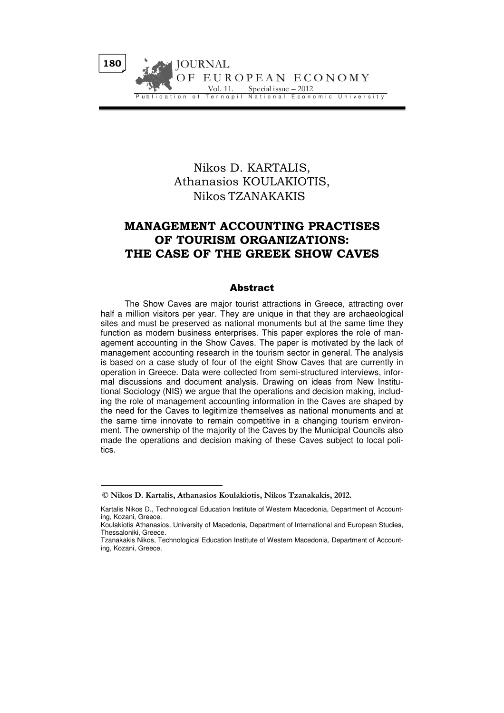# Nikos D. KARTALIS, Athanasios KOULAKIOTIS, Nikos TZANAKAKIS

# MANAGEMENT ACCOUNTING PRACTISES OF TOURISM ORGANIZATIONS: THE CASE OF THE GREEK SHOW CAVES

## Abstract

The Show Caves are major tourist attractions in Greece, attracting over half a million visitors per year. They are unique in that they are archaeological sites and must be preserved as national monuments but at the same time they function as modern business enterprises. This paper explores the role of management accounting in the Show Caves. The paper is motivated by the lack of management accounting research in the tourism sector in general. The analysis is based on a case study of four of the eight Show Caves that are currently in operation in Greece. Data were collected from semi-structured interviews, informal discussions and document analysis. Drawing on ideas from New Institutional Sociology (NIS) we argue that the operations and decision making, including the role of management accounting information in the Caves are shaped by the need for the Caves to legitimize themselves as national monuments and at the same time innovate to remain competitive in a changing tourism environment. The ownership of the majority of the Caves by the Municipal Councils also made the operations and decision making of these Caves subject to local politics.

 $\overline{a}$ 

<sup>©</sup> Nikos D. Kartalis, Athanasios Koulakiotis, Nikos Tzanakakis, 2012.

Kartalis Nikos D., Technological Education Institute of Western Macedonia, Department of Accounting, Kozani, Greece.

Koulakiotis Athanasios, University of Macedonia, Department of International and European Studies, Thessaloniki, Greece.

Tzanakakis Nikos, Technological Education Institute of Western Macedonia, Department of Accounting, Kozani, Greece.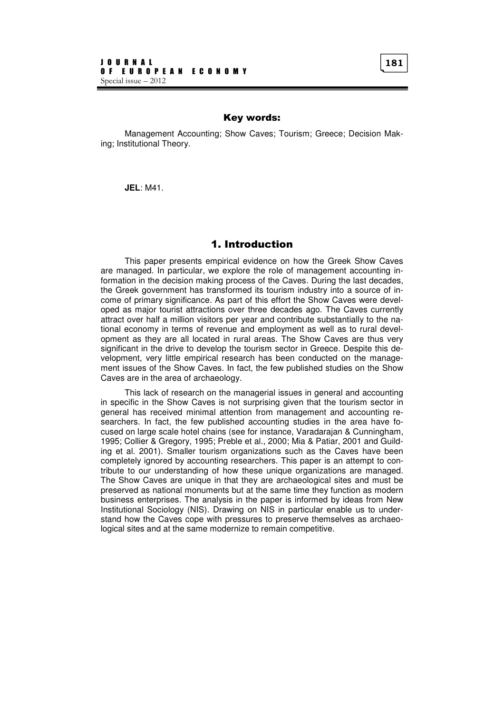## Key words:

Management Accounting; Show Caves; Tourism; Greece; Decision Making; Institutional Theory.

**JEL**: M41.

## 1. Introduction

This paper presents empirical evidence on how the Greek Show Caves are managed. In particular, we explore the role of management accounting information in the decision making process of the Caves. During the last decades, the Greek government has transformed its tourism industry into a source of income of primary significance. As part of this effort the Show Caves were developed as major tourist attractions over three decades ago. The Caves currently attract over half a million visitors per year and contribute substantially to the national economy in terms of revenue and employment as well as to rural development as they are all located in rural areas. The Show Caves are thus very significant in the drive to develop the tourism sector in Greece. Despite this development, very little empirical research has been conducted on the management issues of the Show Caves. In fact, the few published studies on the Show Caves are in the area of archaeology.

This lack of research on the managerial issues in general and accounting in specific in the Show Caves is not surprising given that the tourism sector in general has received minimal attention from management and accounting researchers. In fact, the few published accounting studies in the area have focused on large scale hotel chains (see for instance, Varadarajan & Cunningham, 1995; Collier & Gregory, 1995; Preble et al., 2000; Mia & Patiar, 2001 and Guilding et al. 2001). Smaller tourism organizations such as the Caves have been completely ignored by accounting researchers. This paper is an attempt to contribute to our understanding of how these unique organizations are managed. The Show Caves are unique in that they are archaeological sites and must be preserved as national monuments but at the same time they function as modern business enterprises. The analysis in the paper is informed by ideas from New Institutional Sociology (NIS). Drawing on NIS in particular enable us to understand how the Caves cope with pressures to preserve themselves as archaeological sites and at the same modernize to remain competitive.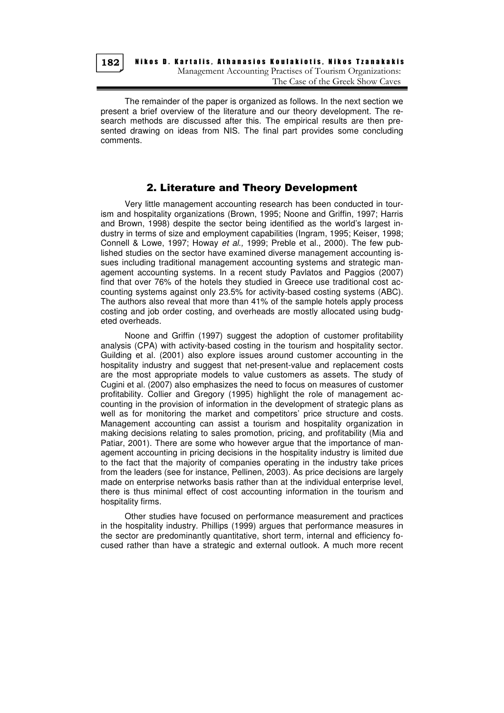

The remainder of the paper is organized as follows. In the next section we present a brief overview of the literature and our theory development. The research methods are discussed after this. The empirical results are then presented drawing on ideas from NIS. The final part provides some concluding comments.

## 2. Literature and Theory Development

Very little management accounting research has been conducted in tourism and hospitality organizations (Brown, 1995; Noone and Griffin, 1997; Harris and Brown, 1998) despite the sector being identified as the world's largest industry in terms of size and employment capabilities (Ingram, 1995; Keiser, 1998; Connell & Lowe, 1997; Howay et al., 1999; Preble et al., 2000). The few published studies on the sector have examined diverse management accounting issues including traditional management accounting systems and strategic management accounting systems. In a recent study Pavlatos and Paggios (2007) find that over 76% of the hotels they studied in Greece use traditional cost accounting systems against only 23.5% for activity-based costing systems (ABC). The authors also reveal that more than 41% of the sample hotels apply process costing and job order costing, and overheads are mostly allocated using budgeted overheads.

Noone and Griffin (1997) suggest the adoption of customer profitability analysis (CPA) with activity-based costing in the tourism and hospitality sector. Guilding et al. (2001) also explore issues around customer accounting in the hospitality industry and suggest that net-present-value and replacement costs are the most appropriate models to value customers as assets. The study of Cugini et al. (2007) also emphasizes the need to focus on measures of customer profitability. Collier and Gregory (1995) highlight the role of management accounting in the provision of information in the development of strategic plans as well as for monitoring the market and competitors' price structure and costs. Management accounting can assist a tourism and hospitality organization in making decisions relating to sales promotion, pricing, and profitability (Mia and Patiar, 2001). There are some who however argue that the importance of management accounting in pricing decisions in the hospitality industry is limited due to the fact that the majority of companies operating in the industry take prices from the leaders (see for instance, Pellinen, 2003). As price decisions are largely made on enterprise networks basis rather than at the individual enterprise level, there is thus minimal effect of cost accounting information in the tourism and hospitality firms.

Other studies have focused on performance measurement and practices in the hospitality industry. Phillips (1999) argues that performance measures in the sector are predominantly quantitative, short term, internal and efficiency focused rather than have a strategic and external outlook. A much more recent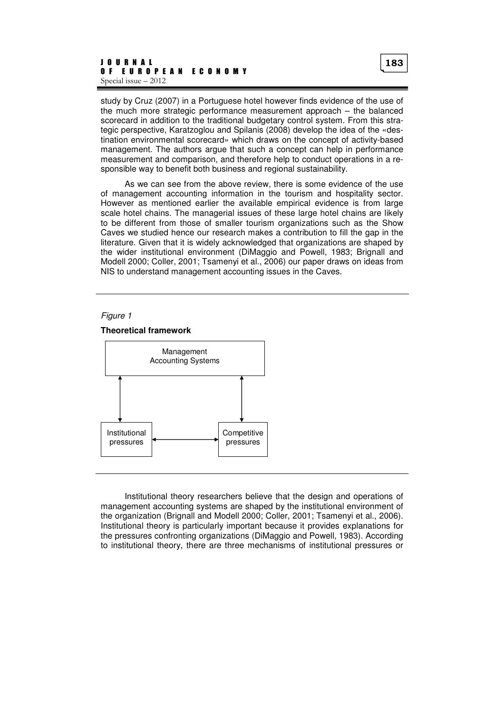study by Cruz (2007) in a Portuguese hotel however finds evidence of the use of the much more strategic performance measurement approach – the balanced scorecard in addition to the traditional budgetary control system. From this strategic perspective, Karatzoglou and Spilanis (2008) develop the idea of the «destination environmental scorecard» which draws on the concept of activity-based management. The authors argue that such a concept can help in performance measurement and comparison, and therefore help to conduct operations in a responsible way to benefit both business and regional sustainability.

As we can see from the above review, there is some evidence of the use of management accounting information in the tourism and hospitality sector. However as mentioned earlier the available empirical evidence is from large scale hotel chains. The managerial issues of these large hotel chains are likely to be different from those of smaller tourism organizations such as the Show Caves we studied hence our research makes a contribution to fill the gap in the literature. Given that it is widely acknowledged that organizations are shaped by the wider institutional environment (DiMaggio and Powell, 1983; Brignall and Modell 2000; Coller, 2001; Tsamenyi et al., 2006) our paper draws on ideas from NIS to understand management accounting issues in the Caves.

### Figure 1





Institutional theory researchers believe that the design and operations of management accounting systems are shaped by the institutional environment of the organization (Brignall and Modell 2000; Coller, 2001; Tsamenyi et al., 2006). Institutional theory is particularly important because it provides explanations for the pressures confronting organizations (DiMaggio and Powell, 1983). According to institutional theory, there are three mechanisms of institutional pressures or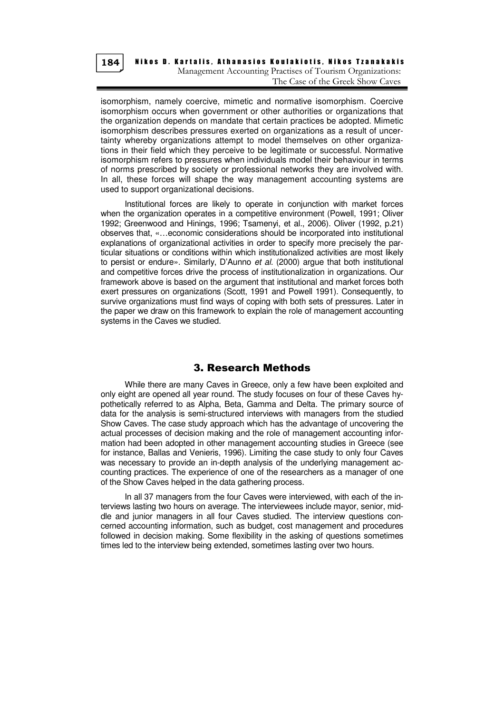

## Nikos D. Kartalis, Athanasios Koulakiotis, Nikos Tzanakakis Management Accounting Practises of Tourism Organizations: The Case of the Greek Show Caves

isomorphism, namely coercive, mimetic and normative isomorphism. Coercive isomorphism occurs when government or other authorities or organizations that the organization depends on mandate that certain practices be adopted. Mimetic isomorphism describes pressures exerted on organizations as a result of uncertainty whereby organizations attempt to model themselves on other organizations in their field which they perceive to be legitimate or successful. Normative isomorphism refers to pressures when individuals model their behaviour in terms of norms prescribed by society or professional networks they are involved with. In all, these forces will shape the way management accounting systems are used to support organizational decisions.

Institutional forces are likely to operate in conjunction with market forces when the organization operates in a competitive environment (Powell, 1991; Oliver 1992; Greenwood and Hinings, 1996; Tsamenyi, et al., 2006). Oliver (1992, p.21) observes that, «…economic considerations should be incorporated into institutional explanations of organizational activities in order to specify more precisely the particular situations or conditions within which institutionalized activities are most likely to persist or endure». Similarly, D'Aunno et al. (2000) argue that both institutional and competitive forces drive the process of institutionalization in organizations. Our framework above is based on the argument that institutional and market forces both exert pressures on organizations (Scott, 1991 and Powell 1991). Consequently, to survive organizations must find ways of coping with both sets of pressures. Later in the paper we draw on this framework to explain the role of management accounting systems in the Caves we studied.

# 3. Research Methods

While there are many Caves in Greece, only a few have been exploited and only eight are opened all year round. The study focuses on four of these Caves hypothetically referred to as Alpha, Beta, Gamma and Delta. The primary source of data for the analysis is semi-structured interviews with managers from the studied Show Caves. The case study approach which has the advantage of uncovering the actual processes of decision making and the role of management accounting information had been adopted in other management accounting studies in Greece (see for instance, Ballas and Venieris, 1996). Limiting the case study to only four Caves was necessary to provide an in-depth analysis of the underlying management accounting practices. The experience of one of the researchers as a manager of one of the Show Caves helped in the data gathering process.

In all 37 managers from the four Caves were interviewed, with each of the interviews lasting two hours on average. The interviewees include mayor, senior, middle and iunior managers in all four Caves studied. The interview questions concerned accounting information, such as budget, cost management and procedures followed in decision making. Some flexibility in the asking of questions sometimes times led to the interview being extended, sometimes lasting over two hours.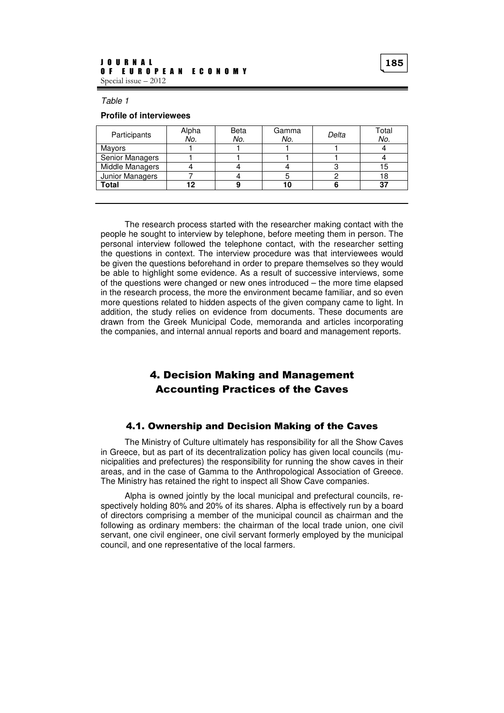Table 1

### **Profile of interviewees**

| Participants    | Alpha<br>No. | Beta<br>No. | Gamma<br>No. | Delta | Total<br>No. |
|-----------------|--------------|-------------|--------------|-------|--------------|
| Mayors          |              |             |              |       |              |
| Senior Managers |              |             |              |       |              |
| Middle Managers |              |             |              |       |              |
| Junior Managers |              |             |              |       |              |
| <b>Total</b>    |              |             |              |       | 37           |
|                 |              |             |              |       |              |

The research process started with the researcher making contact with the people he sought to interview by telephone, before meeting them in person. The personal interview followed the telephone contact, with the researcher setting the questions in context. The interview procedure was that interviewees would be given the questions beforehand in order to prepare themselves so they would be able to highlight some evidence. As a result of successive interviews, some of the questions were changed or new ones introduced – the more time elapsed in the research process, the more the environment became familiar, and so even more questions related to hidden aspects of the given company came to light. In addition, the study relies on evidence from documents. These documents are drawn from the Greek Municipal Code, memoranda and articles incorporating the companies, and internal annual reports and board and management reports.

# 4. Decision Making and Management Accounting Practices of the Caves

## 4.1. Ownership and Decision Making of the Caves

The Ministry of Culture ultimately has responsibility for all the Show Caves in Greece, but as part of its decentralization policy has given local councils (municipalities and prefectures) the responsibility for running the show caves in their areas, and in the case of Gamma to the Anthropological Association of Greece. The Ministry has retained the right to inspect all Show Cave companies.

Alpha is owned jointly by the local municipal and prefectural councils, respectively holding 80% and 20% of its shares. Alpha is effectively run by a board of directors comprising a member of the municipal council as chairman and the following as ordinary members: the chairman of the local trade union, one civil servant, one civil engineer, one civil servant formerly employed by the municipal council, and one representative of the local farmers.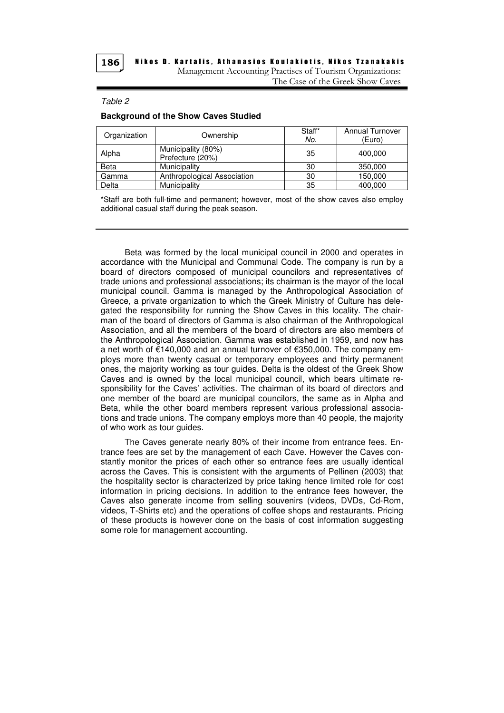Nikos D. Kartalis, Athanasios Koulakiotis, Nikos Tzanakakis Management Accounting Practises of Tourism Organizations: The Case of the Greek Show Caves

#### Table 2

### **Background of the Show Caves Studied**

| Organization | Ownership                              | Staff*<br>No. | <b>Annual Turnover</b><br>(Euro) |
|--------------|----------------------------------------|---------------|----------------------------------|
| Alpha        | Municipality (80%)<br>Prefecture (20%) | 35            | 400,000                          |
| Beta         | Municipality                           | 30            | 350,000                          |
| Gamma        | Anthropological Association            | 30            | 150,000                          |
| Delta        | Municipality                           | 35            | 400,000                          |

\*Staff are both full-time and permanent; however, most of the show caves also employ additional casual staff during the peak season.

Beta was formed by the local municipal council in 2000 and operates in accordance with the Municipal and Communal Code. The company is run by a board of directors composed of municipal councilors and representatives of trade unions and professional associations; its chairman is the mayor of the local municipal council. Gamma is managed by the Anthropological Association of Greece, a private organization to which the Greek Ministry of Culture has delegated the responsibility for running the Show Caves in this locality. The chairman of the board of directors of Gamma is also chairman of the Anthropological Association, and all the members of the board of directors are also members of the Anthropological Association. Gamma was established in 1959, and now has a net worth of €140,000 and an annual turnover of €350,000. The company employs more than twenty casual or temporary employees and thirty permanent ones, the majority working as tour guides. Delta is the oldest of the Greek Show Caves and is owned by the local municipal council, which bears ultimate responsibility for the Caves' activities. The chairman of its board of directors and one member of the board are municipal councilors, the same as in Alpha and Beta, while the other board members represent various professional associations and trade unions. The company employs more than 40 people, the majority of who work as tour guides.

The Caves generate nearly 80% of their income from entrance fees. Entrance fees are set by the management of each Cave. However the Caves constantly monitor the prices of each other so entrance fees are usually identical across the Caves. This is consistent with the arguments of Pellinen (2003) that the hospitality sector is characterized by price taking hence limited role for cost information in pricing decisions. In addition to the entrance fees however, the Caves also generate income from selling souvenirs (videos, DVDs, Cd-Rom, videos, T-Shirts etc) and the operations of coffee shops and restaurants. Pricing of these products is however done on the basis of cost information suggesting some role for management accounting.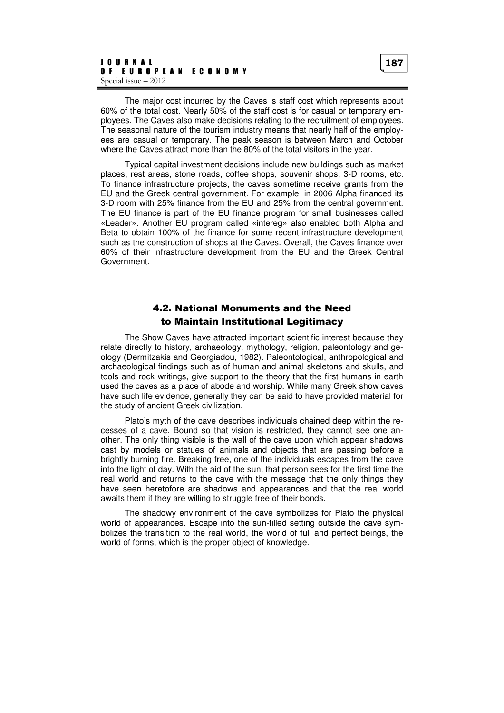The major cost incurred by the Caves is staff cost which represents about 60% of the total cost. Nearly 50% of the staff cost is for casual or temporary employees. The Caves also make decisions relating to the recruitment of employees. The seasonal nature of the tourism industry means that nearly half of the employees are casual or temporary. The peak season is between March and October where the Caves attract more than the 80% of the total visitors in the year.

Typical capital investment decisions include new buildings such as market places, rest areas, stone roads, coffee shops, souvenir shops, 3-D rooms, etc. To finance infrastructure projects, the caves sometime receive grants from the EU and the Greek central government. For example, in 2006 Alpha financed its 3-D room with 25% finance from the EU and 25% from the central government. The EU finance is part of the EU finance program for small businesses called «Leader». Another EU program called «intereg» also enabled both Alpha and Beta to obtain 100% of the finance for some recent infrastructure development such as the construction of shops at the Caves. Overall, the Caves finance over 60% of their infrastructure development from the EU and the Greek Central Government.

# 4.2. National Monuments and the Need to Maintain Institutional Legitimacy

The Show Caves have attracted important scientific interest because they relate directly to history, archaeology, mythology, religion, paleontology and geology (Dermitzakis and Georgiadou, 1982). Paleontological, anthropological and archaeological findings such as of human and animal skeletons and skulls, and tools and rock writings, give support to the theory that the first humans in earth used the caves as a place of abode and worship. While many Greek show caves have such life evidence, generally they can be said to have provided material for the study of ancient Greek civilization.

Plato's myth of the cave describes individuals chained deep within the recesses of a cave. Bound so that vision is restricted, they cannot see one another. The only thing visible is the wall of the cave upon which appear shadows cast by models or statues of animals and objects that are passing before a brightly burning fire. Breaking free, one of the individuals escapes from the cave into the light of day. With the aid of the sun, that person sees for the first time the real world and returns to the cave with the message that the only things they have seen heretofore are shadows and appearances and that the real world awaits them if they are willing to struggle free of their bonds.

The shadowy environment of the cave symbolizes for Plato the physical world of appearances. Escape into the sun-filled setting outside the cave symbolizes the transition to the real world, the world of full and perfect beings, the world of forms, which is the proper object of knowledge.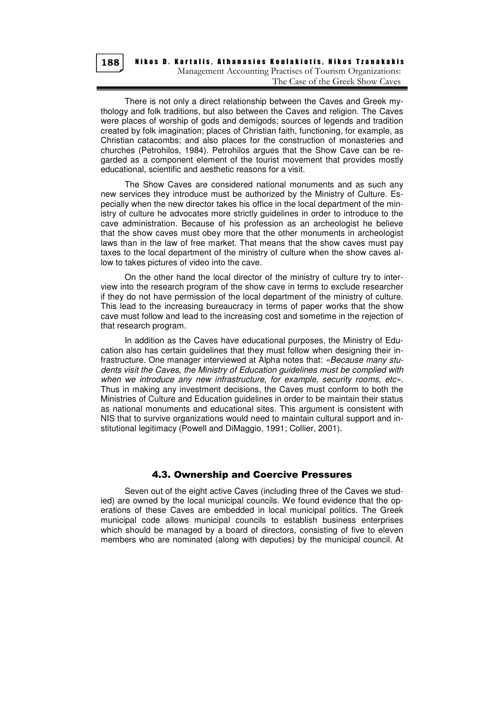Nikos D. Kartalis, Athanasios Koulakiotis, Nikos Tzanakakis Management Accounting Practises of Tourism Organizations: The Case of the Greek Show Caves

There is not only a direct relationship between the Caves and Greek mythology and folk traditions, but also between the Caves and religion. The Caves were places of worship of gods and demigods; sources of legends and tradition created by folk imagination; places of Christian faith, functioning, for example, as Christian catacombs; and also places for the construction of monasteries and churches (Petrohilos, 1984). Petrohilos argues that the Show Cave can be regarded as a component element of the tourist movement that provides mostly educational, scientific and aesthetic reasons for a visit.

The Show Caves are considered national monuments and as such any new services they introduce must be authorized by the Ministry of Culture. Especially when the new director takes his office in the local department of the ministry of culture he advocates more strictly guidelines in order to introduce to the cave administration. Because of his profession as an archeologist he believe that the show caves must obey more that the other monuments in archeologist laws than in the law of free market. That means that the show caves must pay taxes to the local department of the ministry of culture when the show caves allow to takes pictures of video into the cave.

On the other hand the local director of the ministry of culture try to interview into the research program of the show cave in terms to exclude researcher if they do not have permission of the local department of the ministry of culture. This lead to the increasing bureaucracy in terms of paper works that the show cave must follow and lead to the increasing cost and sometime in the rejection of that research program.

In addition as the Caves have educational purposes, the Ministry of Education also has certain guidelines that they must follow when designing their infrastructure. One manager interviewed at Alpha notes that: «Because many students visit the Caves, the Ministry of Education guidelines must be complied with when we introduce any new infrastructure, for example, security rooms, etc». Thus in making any investment decisions, the Caves must conform to both the Ministries of Culture and Education guidelines in order to be maintain their status as national monuments and educational sites. This argument is consistent with NIS that to survive organizations would need to maintain cultural support and institutional legitimacy (Powell and DiMaggio, 1991; Collier, 2001).

## 4.3. Ownership and Coercive Pressures

Seven out of the eight active Caves (including three of the Caves we studied) are owned by the local municipal councils. We found evidence that the operations of these Caves are embedded in local municipal politics. The Greek municipal code allows municipal councils to establish business enterprises which should be managed by a board of directors, consisting of five to eleven members who are nominated (along with deputies) by the municipal council. At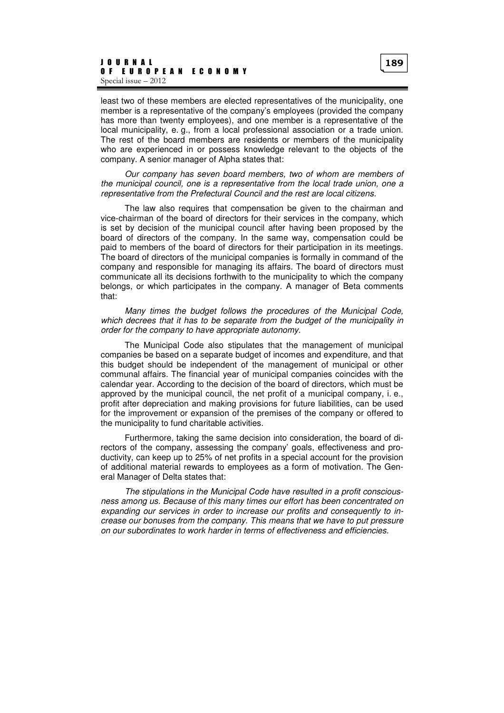least two of these members are elected representatives of the municipality, one member is a representative of the company's employees (provided the company has more than twenty employees), and one member is a representative of the local municipality, e. g., from a local professional association or a trade union. The rest of the board members are residents or members of the municipality who are experienced in or possess knowledge relevant to the objects of the company. A senior manager of Alpha states that:

Our company has seven board members, two of whom are members of the municipal council, one is a representative from the local trade union, one a representative from the Prefectural Council and the rest are local citizens.

The law also requires that compensation be given to the chairman and vice-chairman of the board of directors for their services in the company, which is set by decision of the municipal council after having been proposed by the board of directors of the company. In the same way, compensation could be paid to members of the board of directors for their participation in its meetings. The board of directors of the municipal companies is formally in command of the company and responsible for managing its affairs. The board of directors must communicate all its decisions forthwith to the municipality to which the company belongs, or which participates in the company. A manager of Beta comments that:

Many times the budget follows the procedures of the Municipal Code, which decrees that it has to be separate from the budget of the municipality in order for the company to have appropriate autonomy.

The Municipal Code also stipulates that the management of municipal companies be based on a separate budget of incomes and expenditure, and that this budget should be independent of the management of municipal or other communal affairs. The financial year of municipal companies coincides with the calendar year. According to the decision of the board of directors, which must be approved by the municipal council, the net profit of a municipal company, i. e., profit after depreciation and making provisions for future liabilities, can be used for the improvement or expansion of the premises of the company or offered to the municipality to fund charitable activities.

Furthermore, taking the same decision into consideration, the board of directors of the company, assessing the company' goals, effectiveness and productivity, can keep up to 25% of net profits in a special account for the provision of additional material rewards to employees as a form of motivation. The General Manager of Delta states that:

The stipulations in the Municipal Code have resulted in a profit consciousness among us. Because of this many times our effort has been concentrated on expanding our services in order to increase our profits and consequently to increase our bonuses from the company. This means that we have to put pressure on our subordinates to work harder in terms of effectiveness and efficiencies.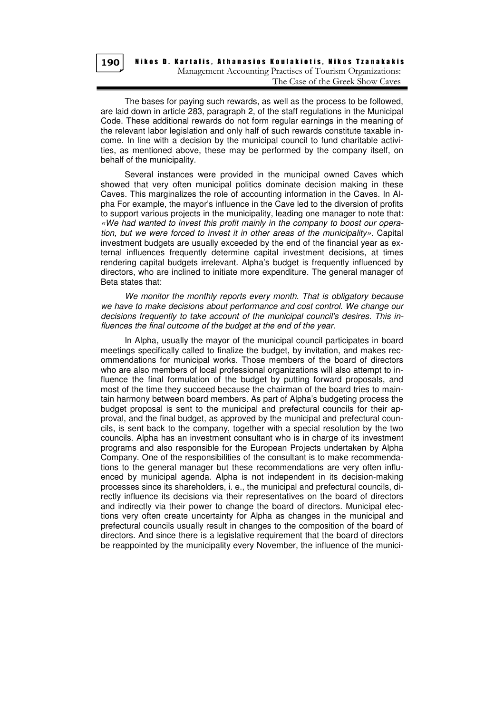Nikos D. Kartalis, Athanasios Koulakiotis, Nikos Tzanakakis Management Accounting Practises of Tourism Organizations: The Case of the Greek Show Caves

The bases for paying such rewards, as well as the process to be followed, are laid down in article 283, paragraph 2, of the staff regulations in the Municipal Code. These additional rewards do not form regular earnings in the meaning of the relevant labor legislation and only half of such rewards constitute taxable income. In line with a decision by the municipal council to fund charitable activities, as mentioned above, these may be performed by the company itself, on behalf of the municipality.

Several instances were provided in the municipal owned Caves which showed that very often municipal politics dominate decision making in these Caves. This marginalizes the role of accounting information in the Caves. In Alpha For example, the mayor's influence in the Cave led to the diversion of profits to support various projects in the municipality, leading one manager to note that: «We had wanted to invest this profit mainly in the company to boost our operation, but we were forced to invest it in other areas of the municipality». Capital investment budgets are usually exceeded by the end of the financial year as external influences frequently determine capital investment decisions, at times rendering capital budgets irrelevant. Alpha's budget is frequently influenced by directors, who are inclined to initiate more expenditure. The general manager of Beta states that:

We monitor the monthly reports every month. That is obligatory because we have to make decisions about performance and cost control. We change our decisions frequently to take account of the municipal council's desires. This influences the final outcome of the budget at the end of the year.

In Alpha, usually the mayor of the municipal council participates in board meetings specifically called to finalize the budget, by invitation, and makes recommendations for municipal works. Those members of the board of directors who are also members of local professional organizations will also attempt to influence the final formulation of the budget by putting forward proposals, and most of the time they succeed because the chairman of the board tries to maintain harmony between board members. As part of Alpha's budgeting process the budget proposal is sent to the municipal and prefectural councils for their approval, and the final budget, as approved by the municipal and prefectural councils, is sent back to the company, together with a special resolution by the two councils. Alpha has an investment consultant who is in charge of its investment programs and also responsible for the European Projects undertaken by Alpha Company. One of the responsibilities of the consultant is to make recommendations to the general manager but these recommendations are very often influenced by municipal agenda. Alpha is not independent in its decision-making processes since its shareholders, i. e., the municipal and prefectural councils, directly influence its decisions via their representatives on the board of directors and indirectly via their power to change the board of directors. Municipal elections very often create uncertainty for Alpha as changes in the municipal and prefectural councils usually result in changes to the composition of the board of directors. And since there is a legislative requirement that the board of directors be reappointed by the municipality every November, the influence of the munici-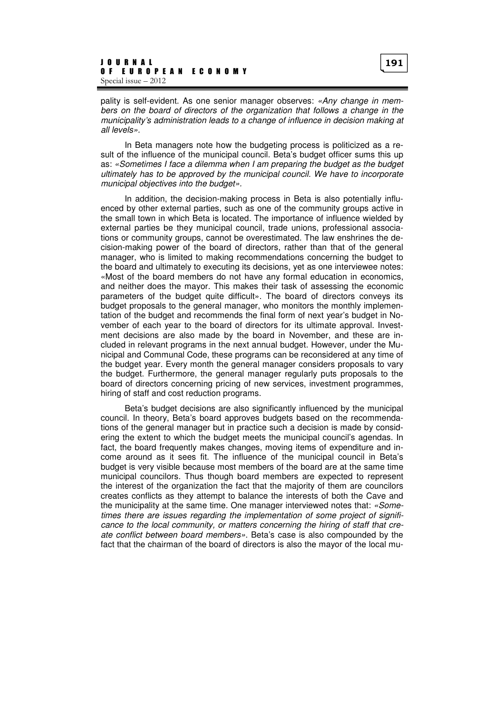pality is self-evident. As one senior manager observes: «Any change in members on the board of directors of the organization that follows a change in the municipality's administration leads to a change of influence in decision making at all levels».

In Beta managers note how the budgeting process is politicized as a result of the influence of the municipal council. Beta's budget officer sums this up as: «Sometimes I face a dilemma when I am preparing the budget as the budget ultimately has to be approved by the municipal council. We have to incorporate municipal objectives into the budget».

In addition, the decision-making process in Beta is also potentially influenced by other external parties, such as one of the community groups active in the small town in which Beta is located. The importance of influence wielded by external parties be they municipal council, trade unions, professional associations or community groups, cannot be overestimated. The law enshrines the decision-making power of the board of directors, rather than that of the general manager, who is limited to making recommendations concerning the budget to the board and ultimately to executing its decisions, yet as one interviewee notes: «Most of the board members do not have any formal education in economics, and neither does the mayor. This makes their task of assessing the economic parameters of the budget quite difficult». The board of directors conveys its budget proposals to the general manager, who monitors the monthly implementation of the budget and recommends the final form of next year's budget in November of each year to the board of directors for its ultimate approval. Investment decisions are also made by the board in November, and these are included in relevant programs in the next annual budget. However, under the Municipal and Communal Code, these programs can be reconsidered at any time of the budget year. Every month the general manager considers proposals to vary the budget. Furthermore, the general manager regularly puts proposals to the board of directors concerning pricing of new services, investment programmes, hiring of staff and cost reduction programs.

Beta's budget decisions are also significantly influenced by the municipal council. In theory, Beta's board approves budgets based on the recommendations of the general manager but in practice such a decision is made by considering the extent to which the budget meets the municipal council's agendas. In fact, the board frequently makes changes, moving items of expenditure and income around as it sees fit. The influence of the municipal council in Beta's budget is very visible because most members of the board are at the same time municipal councilors. Thus though board members are expected to represent the interest of the organization the fact that the majority of them are councilors creates conflicts as they attempt to balance the interests of both the Cave and the municipality at the same time. One manager interviewed notes that: «Sometimes there are issues regarding the implementation of some project of significance to the local community, or matters concerning the hiring of staff that create conflict between board members». Beta's case is also compounded by the fact that the chairman of the board of directors is also the mayor of the local mu-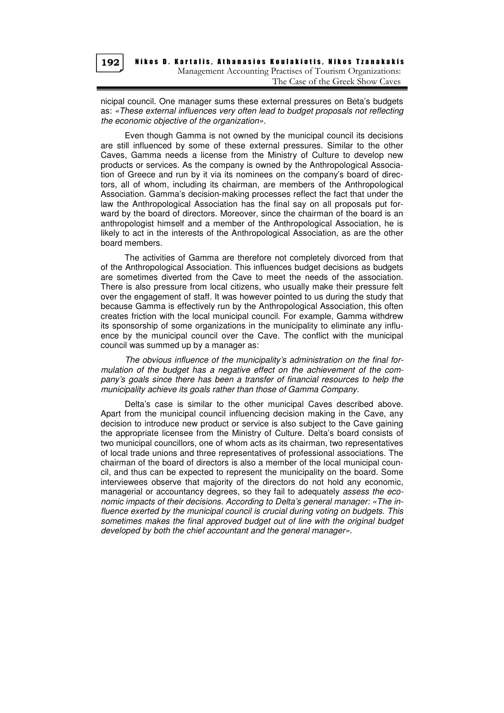

nicipal council. One manager sums these external pressures on Beta's budgets as: «These external influences very often lead to budget proposals not reflecting the economic objective of the organization».

Even though Gamma is not owned by the municipal council its decisions are still influenced by some of these external pressures. Similar to the other Caves, Gamma needs a license from the Ministry of Culture to develop new products or services. As the company is owned by the Anthropological Association of Greece and run by it via its nominees on the company's board of directors, all of whom, including its chairman, are members of the Anthropological Association. Gamma's decision-making processes reflect the fact that under the law the Anthropological Association has the final say on all proposals put forward by the board of directors. Moreover, since the chairman of the board is an anthropologist himself and a member of the Anthropological Association, he is likely to act in the interests of the Anthropological Association, as are the other board members.

The activities of Gamma are therefore not completely divorced from that of the Anthropological Association. This influences budget decisions as budgets are sometimes diverted from the Cave to meet the needs of the association. There is also pressure from local citizens, who usually make their pressure felt over the engagement of staff. It was however pointed to us during the study that because Gamma is effectively run by the Anthropological Association, this often creates friction with the local municipal council. For example, Gamma withdrew its sponsorship of some organizations in the municipality to eliminate any influence by the municipal council over the Cave. The conflict with the municipal council was summed up by a manager as:

The obvious influence of the municipality's administration on the final formulation of the budget has a negative effect on the achievement of the company's goals since there has been a transfer of financial resources to help the municipality achieve its goals rather than those of Gamma Company.

Delta's case is similar to the other municipal Caves described above. Apart from the municipal council influencing decision making in the Cave, any decision to introduce new product or service is also subject to the Cave gaining the appropriate licensee from the Ministry of Culture. Delta's board consists of two municipal councillors, one of whom acts as its chairman, two representatives of local trade unions and three representatives of professional associations. The chairman of the board of directors is also a member of the local municipal council, and thus can be expected to represent the municipality on the board. Some interviewees observe that majority of the directors do not hold any economic, managerial or accountancy degrees, so they fail to adequately assess the economic impacts of their decisions. According to Delta's general manager: «The influence exerted by the municipal council is crucial during voting on budgets. This sometimes makes the final approved budget out of line with the original budget developed by both the chief accountant and the general manager».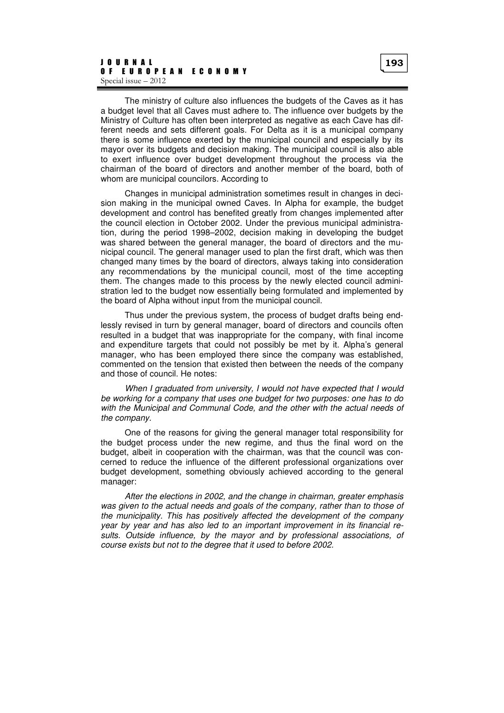whom are municipal councilors. According to

The ministry of culture also influences the budgets of the Caves as it has a budget level that all Caves must adhere to. The influence over budgets by the Ministry of Culture has often been interpreted as negative as each Cave has different needs and sets different goals. For Delta as it is a municipal company there is some influence exerted by the municipal council and especially by its mayor over its budgets and decision making. The municipal council is also able to exert influence over budget development throughout the process via the chairman of the board of directors and another member of the board, both of

Changes in municipal administration sometimes result in changes in decision making in the municipal owned Caves. In Alpha for example, the budget development and control has benefited greatly from changes implemented after the council election in October 2002. Under the previous municipal administration, during the period 1998–2002, decision making in developing the budget was shared between the general manager, the board of directors and the municipal council. The general manager used to plan the first draft, which was then changed many times by the board of directors, always taking into consideration any recommendations by the municipal council, most of the time accepting them. The changes made to this process by the newly elected council administration led to the budget now essentially being formulated and implemented by the board of Alpha without input from the municipal council.

Thus under the previous system, the process of budget drafts being endlessly revised in turn by general manager, board of directors and councils often resulted in a budget that was inappropriate for the company, with final income and expenditure targets that could not possibly be met by it. Alpha's general manager, who has been employed there since the company was established, commented on the tension that existed then between the needs of the company and those of council. He notes:

When I graduated from university, I would not have expected that I would be working for a company that uses one budget for two purposes: one has to do with the Municipal and Communal Code, and the other with the actual needs of the company.

One of the reasons for giving the general manager total responsibility for the budget process under the new regime, and thus the final word on the budget, albeit in cooperation with the chairman, was that the council was concerned to reduce the influence of the different professional organizations over budget development, something obviously achieved according to the general manager:

After the elections in 2002, and the change in chairman, greater emphasis was given to the actual needs and goals of the company, rather than to those of the municipality. This has positively affected the development of the company year by year and has also led to an important improvement in its financial results. Outside influence, by the mayor and by professional associations, of course exists but not to the degree that it used to before 2002.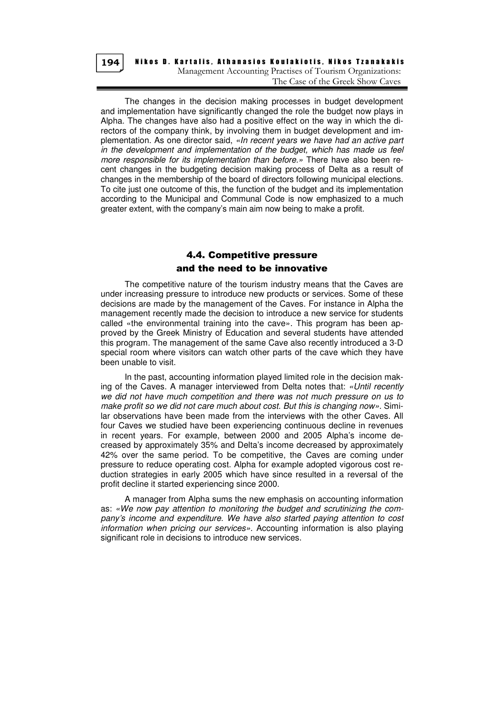Nikos D. Kartalis, Athanasios Koulakiotis, Nikos Tzanakakis Management Accounting Practises of Tourism Organizations: The Case of the Greek Show Caves

The changes in the decision making processes in budget development and implementation have significantly changed the role the budget now plays in Alpha. The changes have also had a positive effect on the way in which the directors of the company think, by involving them in budget development and implementation. As one director said, «In recent years we have had an active part in the development and implementation of the budget, which has made us feel more responsible for its implementation than before.» There have also been recent changes in the budgeting decision making process of Delta as a result of changes in the membership of the board of directors following municipal elections. To cite just one outcome of this, the function of the budget and its implementation according to the Municipal and Communal Code is now emphasized to a much greater extent, with the company's main aim now being to make a profit.

# 4.4. Competitive pressure and the need to be innovative

The competitive nature of the tourism industry means that the Caves are under increasing pressure to introduce new products or services. Some of these decisions are made by the management of the Caves. For instance in Alpha the management recently made the decision to introduce a new service for students called «the environmental training into the cave». This program has been approved by the Greek Ministry of Education and several students have attended this program. The management of the same Cave also recently introduced a 3-D special room where visitors can watch other parts of the cave which they have been unable to visit.

In the past, accounting information played limited role in the decision making of the Caves. A manager interviewed from Delta notes that: «Until recently we did not have much competition and there was not much pressure on us to make profit so we did not care much about cost. But this is changing now». Similar observations have been made from the interviews with the other Caves. All four Caves we studied have been experiencing continuous decline in revenues in recent years. For example, between 2000 and 2005 Alpha's income decreased by approximately 35% and Delta's income decreased by approximately 42% over the same period. To be competitive, the Caves are coming under pressure to reduce operating cost. Alpha for example adopted vigorous cost reduction strategies in early 2005 which have since resulted in a reversal of the profit decline it started experiencing since 2000.

A manager from Alpha sums the new emphasis on accounting information as: «We now pay attention to monitoring the budget and scrutinizing the company's income and expenditure. We have also started paying attention to cost information when pricing our services». Accounting information is also playing significant role in decisions to introduce new services.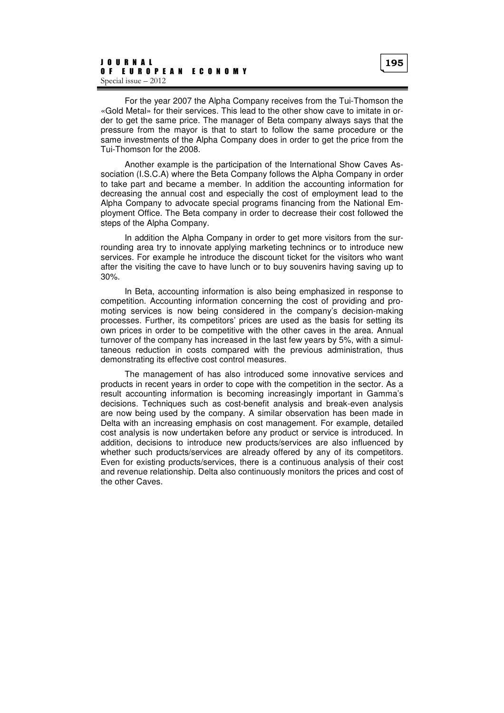For the year 2007 the Alpha Company receives from the Tui-Thomson the «Gold Metal» for their services. This lead to the other show cave to imitate in order to get the same price. The manager of Beta company always says that the pressure from the mayor is that to start to follow the same procedure or the same investments of the Alpha Company does in order to get the price from the Tui-Thomson for the 2008.

Another example is the participation of the International Show Caves Association (I.S.C.A) where the Beta Company follows the Alpha Company in order to take part and became a member. In addition the accounting information for decreasing the annual cost and especially the cost of employment lead to the Alpha Company to advocate special programs financing from the National Employment Office. The Beta company in order to decrease their cost followed the steps of the Alpha Company.

In addition the Alpha Company in order to get more visitors from the surrounding area try to innovate applying marketing technincs or to introduce new services. For example he introduce the discount ticket for the visitors who want after the visiting the cave to have lunch or to buy souvenirs having saving up to 30%.

In Beta, accounting information is also being emphasized in response to competition. Accounting information concerning the cost of providing and promoting services is now being considered in the company's decision-making processes. Further, its competitors' prices are used as the basis for setting its own prices in order to be competitive with the other caves in the area. Annual turnover of the company has increased in the last few years by 5%, with a simultaneous reduction in costs compared with the previous administration, thus demonstrating its effective cost control measures.

The management of has also introduced some innovative services and products in recent years in order to cope with the competition in the sector. As a result accounting information is becoming increasingly important in Gamma's decisions. Techniques such as cost-benefit analysis and break-even analysis are now being used by the company. A similar observation has been made in Delta with an increasing emphasis on cost management. For example, detailed cost analysis is now undertaken before any product or service is introduced. In addition, decisions to introduce new products/services are also influenced by whether such products/services are already offered by any of its competitors. Even for existing products/services, there is a continuous analysis of their cost and revenue relationship. Delta also continuously monitors the prices and cost of the other Caves.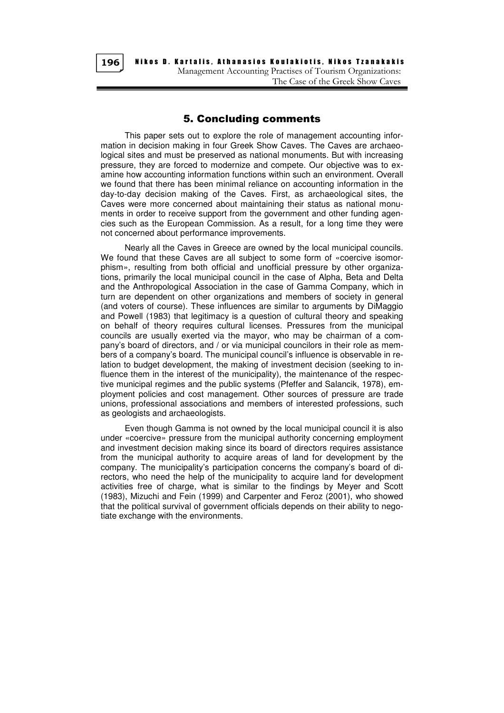

Nikos D. Kartalis, Athanasios Koulakiotis, Nikos Tzanakakis Management Accounting Practises of Tourism Organizations: The Case of the Greek Show Caves

## 5. Concluding comments

This paper sets out to explore the role of management accounting information in decision making in four Greek Show Caves. The Caves are archaeological sites and must be preserved as national monuments. But with increasing pressure, they are forced to modernize and compete. Our objective was to examine how accounting information functions within such an environment. Overall we found that there has been minimal reliance on accounting information in the day-to-day decision making of the Caves. First, as archaeological sites, the Caves were more concerned about maintaining their status as national monuments in order to receive support from the government and other funding agencies such as the European Commission. As a result, for a long time they were not concerned about performance improvements.

Nearly all the Caves in Greece are owned by the local municipal councils. We found that these Caves are all subject to some form of «coercive isomorphism», resulting from both official and unofficial pressure by other organizations, primarily the local municipal council in the case of Alpha, Beta and Delta and the Anthropological Association in the case of Gamma Company, which in turn are dependent on other organizations and members of society in general (and voters of course). These influences are similar to arguments by DiMaggio and Powell (1983) that legitimacy is a question of cultural theory and speaking on behalf of theory requires cultural licenses. Pressures from the municipal councils are usually exerted via the mayor, who may be chairman of a company's board of directors, and / or via municipal councilors in their role as members of a company's board. The municipal council's influence is observable in relation to budget development, the making of investment decision (seeking to influence them in the interest of the municipality), the maintenance of the respective municipal regimes and the public systems (Pfeffer and Salancik, 1978), employment policies and cost management. Other sources of pressure are trade unions, professional associations and members of interested professions, such as geologists and archaeologists.

Even though Gamma is not owned by the local municipal council it is also under «coercive» pressure from the municipal authority concerning employment and investment decision making since its board of directors requires assistance from the municipal authority to acquire areas of land for development by the company. The municipality's participation concerns the company's board of directors, who need the help of the municipality to acquire land for development activities free of charge, what is similar to the findings by Meyer and Scott (1983), Mizuchi and Fein (1999) and Carpenter and Feroz (2001), who showed that the political survival of government officials depends on their ability to negotiate exchange with the environments.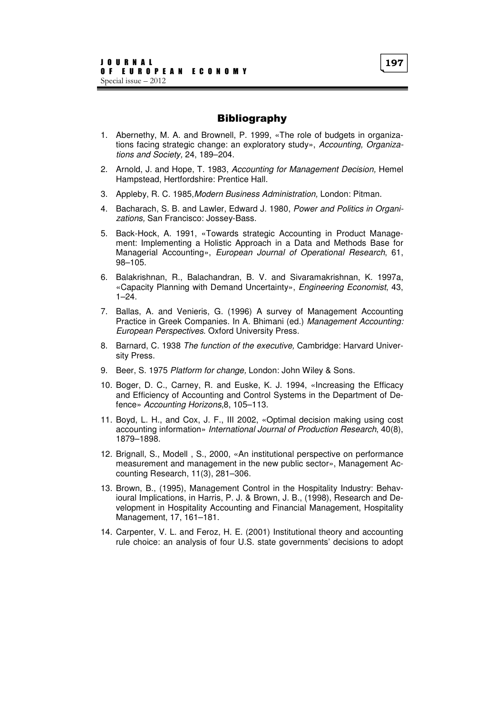# Bibliography

- 1. Abernethy, M. A. and Brownell, P. 1999, «The role of budgets in organizations facing strategic change: an exploratory study», Accounting, Organizations and Society, 24, 189–204.
- 2. Arnold, J. and Hope, T. 1983, Accounting for Management Decision, Hemel Hampstead, Hertfordshire: Prentice Hall.
- 3. Appleby, R. C. 1985,Modern Business Administration, London: Pitman.
- 4. Bacharach, S. B. and Lawler, Edward J. 1980, Power and Politics in Organizations, San Francisco: Jossey-Bass.
- 5. Back-Hock, A. 1991, «Towards strategic Accounting in Product Management: Implementing a Holistic Approach in a Data and Methods Base for Managerial Accounting», European Journal of Operational Research, 61, 98–105.
- 6. Balakrishnan, R., Balachandran, B. V. and Sivaramakrishnan, K. 1997a, «Capacity Planning with Demand Uncertainty», Engineering Economist, 43,  $1 - 24$ .
- 7. Ballas, A. and Venieris, G. (1996) A survey of Management Accounting Practice in Greek Companies. In A. Bhimani (ed.) Management Accounting: European Perspectives. Oxford University Press.
- 8. Barnard, C. 1938 The function of the executive, Cambridge: Harvard University Press.
- 9. Beer, S. 1975 Platform for change, London: John Wiley & Sons.
- 10. Boger, D. C., Carney, R. and Euske, K. J. 1994, «Increasing the Efficacy and Efficiency of Accounting and Control Systems in the Department of Defence» Accounting Horizons,8, 105–113.
- 11. Boyd, L. H., and Cox, J. F., III 2002, «Optimal decision making using cost accounting information» International Journal of Production Research, 40(8), 1879–1898.
- 12. Brignall, S., Modell , S., 2000, «An institutional perspective on performance measurement and management in the new public sector», Management Accounting Research, 11(3), 281–306.
- 13. Brown, B., (1995), Management Control in the Hospitality Industry: Behavioural Implications, in Harris, P. J. & Brown, J. B., (1998), Research and Development in Hospitality Accounting and Financial Management, Hospitality Management, 17, 161–181.
- 14. Carpenter, V. L. and Feroz, H. E. (2001) Institutional theory and accounting rule choice: an analysis of four U.S. state governments' decisions to adopt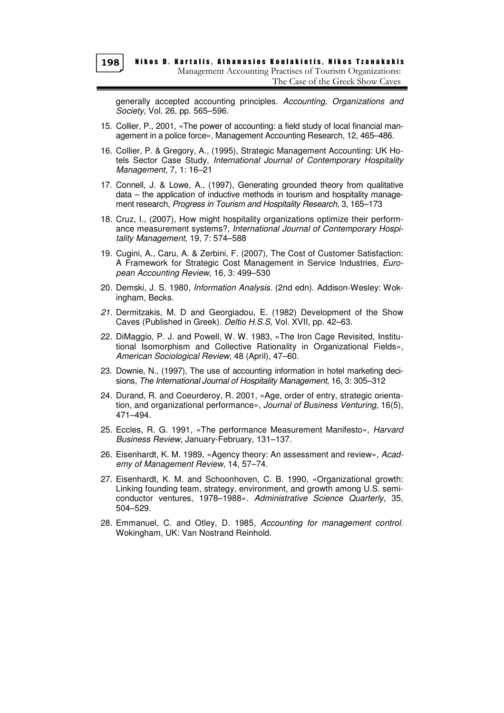generally accepted accounting principles. Accounting, Organizations and Society, Vol. 26, pp. 565–596.

- 15. Collier, P., 2001, «The power of accounting: a field study of local financial management in a police force», Management Accounting Research, 12, 465–486.
- 16. Collier, P. & Gregory, A., (1995), Strategic Management Accounting: UK Hotels Sector Case Study, International Journal of Contemporary Hospitality Management, 7, 1: 16–21
- 17. Connell, J. & Lowe, A., (1997), Generating grounded theory from qualitative data – the application of inductive methods in tourism and hospitality management research, Progress in Tourism and Hospitality Research, 3, 165–173
- 18. Cruz, I., (2007), How might hospitality organizations optimize their performance measurement systems?, International Journal of Contemporary Hospitality Management, 19, 7: 574–588
- 19. Cugini, A., Caru, A. & Zerbini, F. (2007), The Cost of Customer Satisfaction: A Framework for Strategic Cost Management in Service Industries, European Accounting Review, 16, 3: 499–530
- 20. Demski, J. S. 1980, Information Analysis. (2nd edn). Addison-Wesley: Wokingham, Becks.
- 21. Dermitzakis, M. D and Georgiadou, E. (1982) Development of the Show Caves (Published in Greek). Deltio H.S.S, Vol. XVII, pp. 42–63.
- 22. DiMaggio, P. J. and Powell, W. W. 1983, «The Iron Cage Revisited, Institutional Isomorphism and Collective Rationality in Organizational Fields», American Sociological Review, 48 (April), 47–60.
- 23. Downie, N., (1997), The use of accounting information in hotel marketing decisions, The International Journal of Hospitality Management, 16, 3: 305–312
- 24. Durand, R. and Coeurderoy, R. 2001, «Age, order of entry, strategic orientation, and organizational performance», Journal of Business Venturing, 16(5), 471–494.
- 25. Eccles, R. G. 1991, «The performance Measurement Manifesto», Harvard Business Review, January-February, 131–137.
- 26. Eisenhardt, K. M. 1989, «Agency theory: An assessment and review», Academy of Management Review, 14, 57–74.
- 27. Eisenhardt, K. M. and Schoonhoven, C. B. 1990, «Organizational growth: Linking founding team, strategy, environment, and growth among U.S. semiconductor ventures, 1978–1988». Administrative Science Quarterly, 35, 504–529.
- 28. Emmanuel, C. and Otley, D. 1985, Accounting for management control. Wokingham, UK: Van Nostrand Reinhold.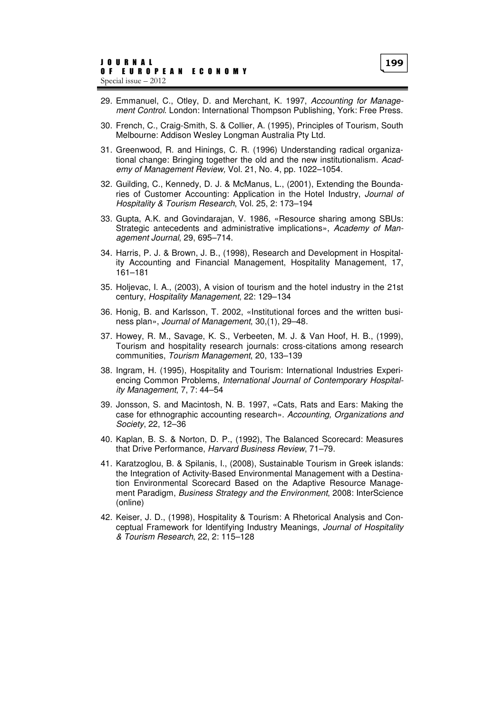- 29. Emmanuel, C., Otley, D. and Merchant, K. 1997, Accounting for Management Control. London: International Thompson Publishing, York: Free Press.
- 30. French, C., Craig-Smith, S. & Collier, A. (1995), Principles of Tourism, South Melbourne: Addison Wesley Longman Australia Pty Ltd.
- 31. Greenwood, R. and Hinings, C. R. (1996) Understanding radical organizational change: Bringing together the old and the new institutionalism. Academy of Management Review, Vol. 21, No. 4, pp. 1022–1054.
- 32. Guilding, C., Kennedy, D. J. & McManus, L., (2001), Extending the Boundaries of Customer Accounting: Application in the Hotel Industry, Journal of Hospitality & Tourism Research, Vol. 25, 2: 173–194
- 33. Gupta, A.K. and Govindarajan, V. 1986, «Resource sharing among SBUs: Strategic antecedents and administrative implications», Academy of Management Journal, 29, 695–714.
- 34. Harris, P. J. & Brown, J. B., (1998), Research and Development in Hospitality Accounting and Financial Management, Hospitality Management, 17, 161–181
- 35. Holjevac, I. A., (2003), A vision of tourism and the hotel industry in the 21st century, Hospitality Management, 22: 129–134
- 36. Honig, B. and Karlsson, T. 2002, «Institutional forces and the written business plan», Journal of Management, 30,(1), 29–48.
- 37. Howey, R. M., Savage, K. S., Verbeeten, M. J. & Van Hoof, H. B., (1999), Tourism and hospitality research journals: cross-citations among research communities, Tourism Management, 20, 133–139
- 38. Ingram, H. (1995), Hospitality and Tourism: International Industries Experiencing Common Problems, International Journal of Contemporary Hospitality Management, 7, 7: 44–54
- 39. Jonsson, S. and Macintosh, N. B. 1997, «Cats, Rats and Ears: Making the case for ethnographic accounting research». Accounting, Organizations and Society, 22, 12–36
- 40. Kaplan, B. S. & Norton, D. P., (1992), The Balanced Scorecard: Measures that Drive Performance, Harvard Business Review, 71–79.
- 41. Karatzoglou, B. & Spilanis, I., (2008), Sustainable Tourism in Greek islands: the Integration of Activity-Based Environmental Management with a Destination Environmental Scorecard Based on the Adaptive Resource Management Paradigm, Business Strategy and the Environment, 2008: InterScience (online)
- 42. Keiser, J. D., (1998), Hospitality & Tourism: A Rhetorical Analysis and Conceptual Framework for Identifying Industry Meanings, Journal of Hospitality & Tourism Research, 22, 2: 115–128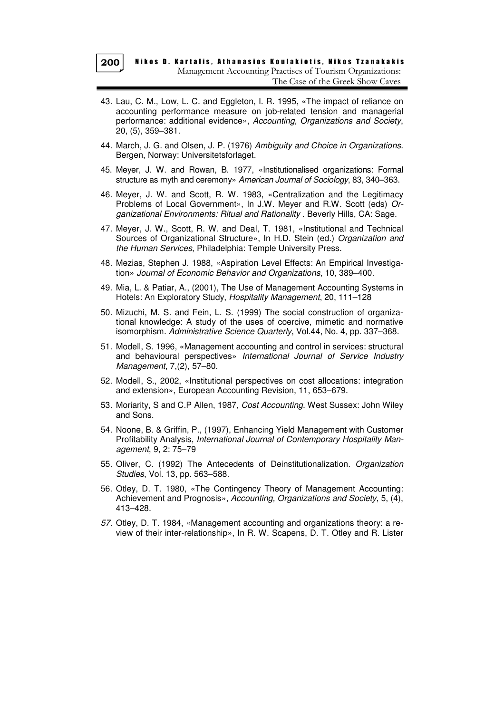- 43. Lau, C. M., Low, L. C. and Eggleton, I. R. 1995, «The impact of reliance on accounting performance measure on job-related tension and managerial performance: additional evidence», Accounting, Organizations and Society, 20, (5), 359–381.
- 44. March, J. G. and Olsen, J. P. (1976) Ambiguity and Choice in Organizations. Bergen, Norway: Universitetsforlaget.
- 45. Meyer, J. W. and Rowan, B. 1977, «Institutionalised organizations: Formal structure as myth and ceremony» American Journal of Sociology, 83, 340–363.
- 46. Meyer, J. W. and Scott, R. W. 1983, «Centralization and the Legitimacy Problems of Local Government», In J.W. Meyer and R.W. Scott (eds) Organizational Environments: Ritual and Rationality . Beverly Hills, CA: Sage.
- 47. Meyer, J. W., Scott, R. W. and Deal, T. 1981, «Institutional and Technical Sources of Organizational Structure», In H.D. Stein (ed.) Organization and the Human Services, Philadelphia: Temple University Press.
- 48. Mezias, Stephen J. 1988, «Aspiration Level Effects: An Empirical Investigation» Journal of Economic Behavior and Organizations, 10, 389–400.
- 49. Mia, L. & Patiar, A., (2001), The Use of Management Accounting Systems in Hotels: An Exploratory Study, Hospitality Management, 20, 111–128
- 50. Mizuchi, M. S. and Fein, L. S. (1999) The social construction of organizational knowledge: A study of the uses of coercive, mimetic and normative isomorphism. Administrative Science Quarterly, Vol.44, No. 4, pp. 337–368.
- 51. Modell, S. 1996, «Management accounting and control in services: structural and behavioural perspectives» International Journal of Service Industry Management, 7,(2), 57–80.
- 52. Modell, S., 2002, «Institutional perspectives on cost allocations: integration and extension», European Accounting Revision, 11, 653–679.
- 53. Moriarity, S and C.P Allen, 1987, Cost Accounting. West Sussex: John Wiley and Sons.
- 54. Noone, B. & Griffin, P., (1997), Enhancing Yield Management with Customer Profitability Analysis, International Journal of Contemporary Hospitality Management, 9, 2: 75–79
- 55. Oliver, C. (1992) The Antecedents of Deinstitutionalization. Organization Studies, Vol. 13, pp. 563–588.
- 56. Otley, D. T. 1980, «The Contingency Theory of Management Accounting: Achievement and Prognosis», Accounting, Organizations and Society, 5, (4), 413–428.
- 57. Otley, D. T. 1984, «Management accounting and organizations theory: a review of their inter-relationship», In R. W. Scapens, D. T. Otley and R. Lister